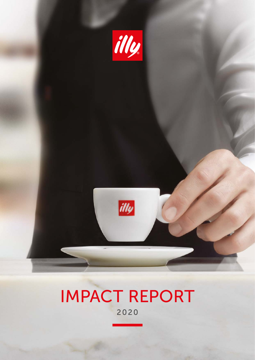

# IMPACT REPORT

2 0 2 0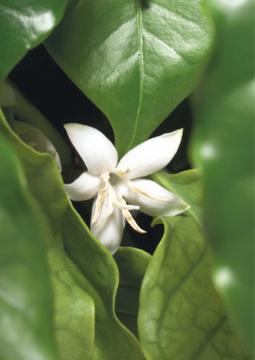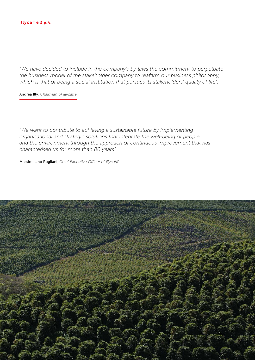*"We have decided to include in the company's by-laws the commitment to perpetuate the business model of the stakeholder company to reaffirm our business philosophy, which is that of being a social institution that pursues its stakeholders' quality of life".*

Andrea Illy*, Chairman of illycaffè*

*"We want to contribute to achieving a sustainable future by implementing organisational and strategic solutions that integrate the well-being of people and the environment through the approach of continuous improvement that has characterised us for more than 80 years".*

Massimiliano Pogliani*, Chief Executive Officer of illycaffè*

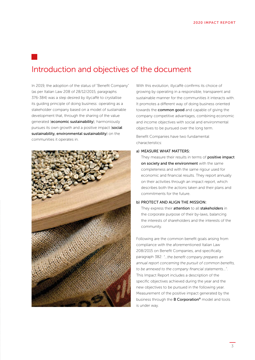# Introduction and objectives of the document

In 2019, the adoption of the status of "Benefit Company" (as per Italian Law 208 of 28/12/2015, paragraphs 376-384) was a step desired by illycaffè to crystallise its guiding principle of doing business: operating as a stakeholder company based on a model of sustainable development that, through the sharing of the value generated (economic sustainability), harmoniously pursues its own growth and a positive impact (social sustainability, environmental sustainability) on the communities it operates in.



With this evolution, illycaffè confirms its choice of growing by operating in a responsible, transparent and sustainable manner for the communities it interacts with. It promotes a different way of doing business oriented towards the **common good** and capable of giving the company competitive advantages, combining economic and income objectives with social and environmental objectives to be pursued over the long term.

Benefit Companies have two fundamental characteristics:

#### a) MEASURE WHAT MATTERS:

They measure their results in terms of **positive impact** on society and the environment with the same completeness and with the same rigour used for economic and financial results. They report annually on their activities through an impact report, which describes both the actions taken and their plans and commitments for the future.

#### b) PROTECT AND ALIGN THE MISSION:

They express their attention to all stakeholders in the corporate purpose of their by-laws, balancing the interests of shareholders and the interests of the community.

Following are the common benefit goals arising from compliance with the aforementioned Italian Law 208/2015 on Benefit Companies, and specifically paragraph 382: *"...the benefit company prepares an annual report concerning the pursuit of common benefits, to be annexed to the company financial statements..."*. This Impact Report includes a description of the specific objectives achieved during the year and the new objectives to be pursued in the following year. Measurement of the positive impact generated by the business through the B Corporation® model and tools is under way.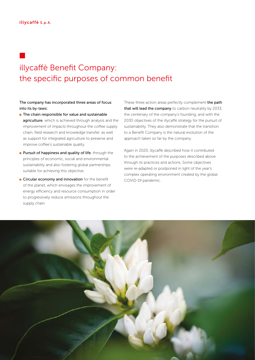# illycaffè Benefit Company: the specific purposes of common benefit

The company has incorporated three areas of focus into its by-laws:

- The chain responsible for value and sustainable agriculture, which is achieved through analysis and the improvement of impacts throughout the coffee supply chain, field research and knowledge transfer, as well as support for integrated agriculture to preserve and improve coffee's sustainable quality.
- Pursuit of happiness and quality of life, through the principles of economic, social and environmental sustainability and also fostering global partnerships suitable for achieving this objective.
- **Exercise 2** Circular economy and innovation for the benefit of the planet, which envisages the improvement of energy efficiency and resource consumption in order to progressively reduce emissions throughout the supply chain.

These three action areas perfectly complement the path that will lead the company to carbon neutrality by 2033, the centenary of the company's founding, and with the 2030 objectives of the illycaffè strategy for the pursuit of sustainability. They also demonstrate that the transition to a Benefit Company is the natural evolution of the approach taken so far by the company.

Again in 2020, illycaffè described how it contributed to the achievement of the purposes described above through its practices and actions. Some objectives were re-adapted or postponed in light of the year's complex operating environment created by the global COVID-19 pandemic.

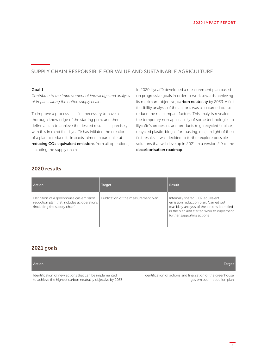# SUPPLY CHAIN RESPONSIBLE FOR VALUE AND SUSTAINABLE AGRICULTURE

#### Goal 1

*Contribute to the improvement of knowledge and analysis of impacts along the coffee supply chain.*

To improve a process, it is first necessary to have a thorough knowledge of the starting point and then define a plan to achieve the desired result. It is precisely with this in mind that illycaffè has initiated the creation of a plan to reduce its impacts, aimed in particular at reducing CO<sub>2</sub> equivalent emissions from all operations, including the supply chain.

In 2020 illycaffè developed a measurement plan based on progressive goals in order to work towards achieving its maximum objective, carbon neutrality by 2033. A first feasibility analysis of the actions was also carried out to reduce the main impact factors. This analysis revealed the temporary non-applicability of some technologies to illycaffè's processes and products (e.g. recycled tinplate, recycled plastic, biogas for roasting, etc.). In light of these first results, it was decided to further explore possible solutions that will develop in 2021, in a version 2.0 of the decarbonisation roadmap.

# 2020 results

| Action                                                                                                                 | Target                              | Result                                                                                                                                                                                                |
|------------------------------------------------------------------------------------------------------------------------|-------------------------------------|-------------------------------------------------------------------------------------------------------------------------------------------------------------------------------------------------------|
| Definition of a greenhouse gas emission<br>reduction plan that includes all operations<br>(including the supply chain) | Publication of the measurement plan | Internally shared CO2 equivalent<br>emission reduction plan. Carried out<br>feasibility analysis of the actions identified<br>in the plan and started work to implement<br>further supporting actions |

| l Action                                                   | Target                                                       |
|------------------------------------------------------------|--------------------------------------------------------------|
| Identification of new actions that can be implemented      | Identification of actions and finalisation of the greenhouse |
| to achieve the highest carbon neutrality objective by 2033 | gas emission reduction plan                                  |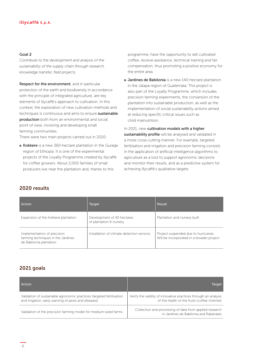#### illycaffè S.p.A.

#### Goal 2

*Contribute to the development and analysis of the sustainability of the supply chain through research, knowledge transfer, field projects.*

Respect for the environment, and in particular protection of the earth and biodiversity in accordance with the principle of integrated agriculture, are key elements of illycaffè's approach to cultivation. In this context, the exploration of new cultivation methods and techniques is continuous and aims to ensure sustainable production both from an environmental and social point of view, involving and developing small farming communities.

There were two main projects carried out in 2020:

■ Kokkere is a new 360-hectare plantation in the Gurage region of Ethiopia. It is one of the experimental projects of the Loyalty Programme created by illycaffè for coffee growers. About 2,000 families of small producers live near the plantation and, thanks to this

programme, have the opportunity to sell cultivated coffee, receive assistance, technical training and fair compensation, thus promoting a positive economy for the entire area.

**Jardines de Babilonia** is a new 140-hectare plantation in the Jalapa region of Guatemala. This project is also part of the Loyalty Programme, which includes precision farming experiments, the conversion of the plantation into sustainable production, as well as the implementation of social sustainability actions aimed at reducing specific critical issues such as child malnutrition.

In 2021, new cultivation models with a higher sustainability profile will be analysed and validated in a more cross-cutting manner. For example, targeted fertilisation and irrigation and precision farming consists in the application of artificial intelligence algorithms to agriculture as a tool to support agronomic decisions and monitor their results, and as a predictive system for achieving illycaffè's qualitative targets.

#### 2020 results

| Action                                                                                       | Target                                                | Result                                                                            |
|----------------------------------------------------------------------------------------------|-------------------------------------------------------|-----------------------------------------------------------------------------------|
| Expansion of the Kokkere plantation                                                          | Development of 40 hectares<br>of plantation & nursery | Plantation and nursery built                                                      |
| Implementation of precision<br>farming techniques in the Jardines<br>de Babilonia plantation | Installation of climate detection sensors             | Project suspended due to hurricanes.<br>Will be incorporated in a broader project |

| <b>Action</b>                                                                                                                 | <b>Target</b>                                                                                                    |
|-------------------------------------------------------------------------------------------------------------------------------|------------------------------------------------------------------------------------------------------------------|
| Validation of sustainable agronomic practices (targeted fertilisation<br>and irrigation, early warning of pests and diseases) | Verify the validity of innovative practices through an analysis<br>of the health of the fruits (coffee cherries) |
| Validation of the precision farming model for medium-sized farms                                                              | Collection and processing of data from applied research<br>in Jardines de Babilonia and Rabanales                |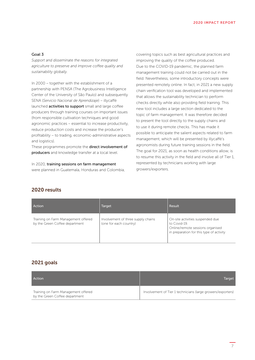#### Goal 3

*Support and disseminate the reasons for integrated agriculture to preserve and improve coffee quality and sustainability globally.*

In 2000 – together with the establishment of a partnership with PENSA (The Agrobusiness Intelligence Center of the University of São Paulo) and subsequently SENA (*Servicio Nacional de Aprendizaje*) – illycaffè launched **activities to support** small and large coffee producers through training courses on important issues (from responsible cultivation techniques and good agronomic practices – essential to increase productivity, reduce production costs and increase the producer's profitability – to trading, economic-administrative aspects and logistics).

These programmes promote the direct involvement of producers and knowledge transfer at a local level.

In 2020, training sessions on farm management were planned in Guatemala, Honduras and Colombia, covering topics such as best agricultural practices and improving the quality of the coffee produced. Due to the COVID-19 pandemic, the planned farm management training could not be carried out in the field. Nevertheless, some introductory concepts were presented remotely online. In fact, in 2021 a new supply chain verification tool was developed and implemented that allows the sustainability technician to perform checks directly while also providing field training. This new tool includes a large section dedicated to the topic of farm management. It was therefore decided to present the tool directly to the supply chains and to use it during remote checks. This has made it possible to anticipate the salient aspects related to farm management, which will be presented by illycaffè's agronomists during future training sessions in the field. The goal for 2021, as soon as health conditions allow, is to resume this activity in the field and involve all of Tier 1, represented by technicians working with large growers/exporters.

# 2020 results

| Action                                                                | Target                                                       | Result                                                                                                                           |
|-----------------------------------------------------------------------|--------------------------------------------------------------|----------------------------------------------------------------------------------------------------------------------------------|
| Training on Farm Management offered<br>by the Green Coffee department | Involvement of three supply chains<br>(one for each country) | On-site activities suspended due<br>to Covid-19.<br>Online/remote sessions organised<br>in preparation for this type of activity |

| Action                                                                | <b>Target</b>                                               |
|-----------------------------------------------------------------------|-------------------------------------------------------------|
| Training on Farm Management offered<br>by the Green Coffee department | Involvement of Tier 1 technicians (large growers/exporters) |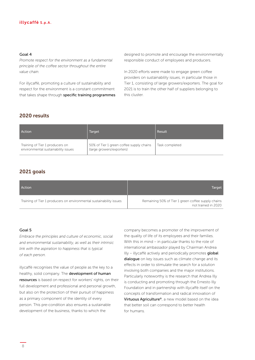#### illycaffè S.p.A.

#### Goal 4

*Promote respect for the environment as a fundamental principle of the coffee sector throughout the entire value chain.*

For illycaffè, promoting a culture of sustainability and respect for the environment is a constant commitment that takes shape through specific training programmes designed to promote and encourage the environmentally responsible conduct of employees and producers.

In 2020 efforts were made to engage green coffee providers on sustainability issues, in particular those in Tier 1, consisting of large growers/exporters. The goal for 2021 is to train the other half of suppliers belonging to this cluster.

## 2020 results

| Action                                                                 | Target                                                                | Result         |
|------------------------------------------------------------------------|-----------------------------------------------------------------------|----------------|
| Training of Tier 1 producers on<br>environmental sustainability issues | 50% of Tier 1 green coffee supply chains<br>(large growers/exporters) | Task completed |

# 2021 goals

| Action                                                              | Target                                                                    |
|---------------------------------------------------------------------|---------------------------------------------------------------------------|
| Training of Tier 1 producers on environmental sustainability issues | Remaining 50% of Tier 1 green coffee supply chains<br>not trained in 2020 |

#### Goal 5

*Embrace the principles and culture of economic, social and environmental sustainability, as well as their intrinsic link with the aspiration to happiness that is typical of each person.*

illycaffè recognises the value of people as the key to a healthy, solid company. The development of human resources is based on respect for workers' rights, on their full development and professional and personal growth, but also on the protection of their pursuit of happiness as a primary component of the identity of every person. This pre-condition also ensures a sustainable development of the business, thanks to which the

company becomes a promoter of the improvement of the quality of life of its employees and their families. With this in mind – in particular thanks to the role of international ambassador played by Chairman Andrea  $IIIv - IIIvc$ affè actively and periodically promotes **global** dialogue on key issues such as climate change and its effects in order to stimulate the search for a solution involving both companies and the major institutions. Particularly noteworthy is the research that Andrea Illy is conducting and promoting through the Ernesto Illy Foundation and in partnership with illycaffè itself on the concepts of transformation and radical innovation of Virtuous Agriculture®, a new model based on the idea that better soil can correspond to better health for humans.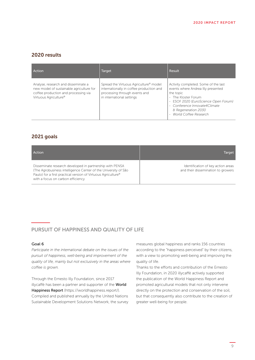# 2020 results

| Action                                                                                                                                                       | Target                                                                                                                                                       | Result                                                                                                                                                                                                                                                                            |
|--------------------------------------------------------------------------------------------------------------------------------------------------------------|--------------------------------------------------------------------------------------------------------------------------------------------------------------|-----------------------------------------------------------------------------------------------------------------------------------------------------------------------------------------------------------------------------------------------------------------------------------|
| Analyse, research and disseminate a<br>new model of sustainable agriculture for<br>coffee production and processing via<br>Virtuous Agriculture <sup>®</sup> | Spread the Virtuous Agriculture <sup>®</sup> model<br>internationally in coffee production and<br>processing through events and<br>in international settings | Activity completed. Some of the last<br>events where Andrea Illy presented<br>the topic<br>The Kloster Forum<br>$\sim$<br>ESOF 2020 (EuroScience Open Forum)<br>$\overline{\phantom{0}}$<br>Conference Innovate4Climate<br>& Regeneration 2030<br>World Coffee Research<br>$\sim$ |

# 2021 goals

| l Action                                                                                                                                                                                                                                     | <b>Target</b>                                                            |
|----------------------------------------------------------------------------------------------------------------------------------------------------------------------------------------------------------------------------------------------|--------------------------------------------------------------------------|
| Disseminate research developed in partnership with PENSA<br>(The Agrobusiness intelligence Center of the University of São<br>Paulo) for a first practical version of Virtuous Agriculture <sup>®</sup><br>with a focus on carbon efficiency | Identification of key action areas<br>and their dissemination to growers |

# PURSUIT OF HAPPINESS AND QUALITY OF LIFE

#### Goal 6

*Participate in the international debate on the issues of the pursuit of happiness, well-being and improvement of the quality of life, mainly but not exclusively in the areas where coffee is grown.*

Through the Ernesto Illy Foundation, since 2017 illycaffè has been a partner and supporter of the World Happiness Report (https://worldhappiness.report/). Compiled and published annually by the United Nations Sustainable Development Solutions Network, the survey measures global happiness and ranks 156 countries according to the "happiness perceived" by their citizens, with a view to promoting well-being and improving the quality of life.

Thanks to the efforts and contribution of the Ernesto Illy Foundation, in 2020 illycaffè actively supported the publication of the World Happiness Report and promoted agricultural models that not only intervene directly on the protection and conservation of the soil, but that consequently also contribute to the creation of greater well-being for people.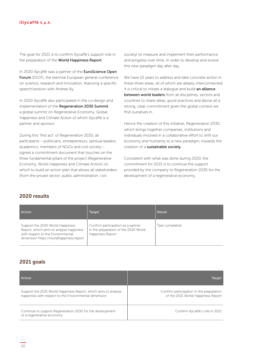The goal for 2021 is to confirm illycaffè's support role in the preparation of the World Happiness Report.

In 2020 illycaffè was a partner of the EuroScience Open Forum (ESOF), the biennial European general conference on science, research and innovation, featuring a specific speech/session with Andrea Illy.

In 2020 illycaffè also participated in the co-design and implementation of the Regeneration 2030 Summit, a global summit on Regenerative Economy, Global Happiness and Climate Action of which illycaffè is a partner and sponsor.

During this "first act" of Regeneration 2030, all participants – politicians, entrepreneurs, spiritual leaders, academics, members of NGOs and civil society – signed a commitment document that touches on the three fundamental pillars of the project (Regenerative Economy, World Happiness and Climate Action) on which to build an action plan that allows all stakeholders (from the private sector, public administration, civil

society) to measure and implement their performance and progress over time, in order to develop and evolve this new paradigm day after day.

We have 10 years to address and take concrete action in these three areas, all of which are deeply interconnected. It is critical to initiate a dialogue and build an alliance between world leaders from all disciplines, sectors and countries to share ideas, good practices and above all a strong, clear commitment given the global context we find ourselves in.

Hence the creation of this initiative, Regeneration 2030, which brings together companies, institutions and individuals involved in a collaborative effort to shift our economy and humanity to a new paradigm, towards the creation of a sustainable society.

Consistent with what was done during 2020, the commitment for 2021 is to continue the support provided by the company to Regeneration 2030 for the development of a regenerative economy.

# 2020 results

| Action                                                                                                                                                      | Target                                                                                         | Result         |
|-------------------------------------------------------------------------------------------------------------------------------------------------------------|------------------------------------------------------------------------------------------------|----------------|
| Support the 2020 World Happiness<br>Report, which aims to analyse happiness<br>with respect to the Environmental<br>dimension https://worldhappiness.report | Confirm participation as a partner<br>in the preparation of the 2020 World<br>Happiness Report | Task completed |

| Action                                                                                                                  | Target                                                                         |
|-------------------------------------------------------------------------------------------------------------------------|--------------------------------------------------------------------------------|
| Support the 2021 World Happiness Report, which aims to analyse<br>happiness with respect to the Environmental dimension | Confirm participation in the preparation<br>of the 2021 World Happiness Report |
| Continue to support Regeneration 2030 for the development<br>of a regenerative economy                                  | Confirm illycaffè's role in 2021                                               |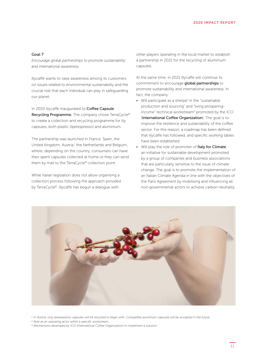#### Goal 7

*Encourage global partnerships to promote sustainability and international awareness.*

illycaffè wants to raise awareness among its customers on issues related to environmental sustainability and the crucial role that each individual can play in safeguarding our planet.

#### In 2020 illycaffè inaugurated its Coffee Capsule

Recycling Programme. The company chose TerraCycle® to create a collection and recycling programme for illy capsules, both plastic (Iperespresso) and aluminium.

The partnership was launched in France, Spain, the United Kingdom, Austria,<sup>1</sup> the Netherlands and Belgium, where, depending on the country, consumers can have their spent capsules collected at home or they can send them by mail to the TerraCycle® collection point.

While Italian legislation does not allow organising a collection process following the approach provided by TerraCycle®, illycaffè has begun a dialogue with

other players operating in the local market to establish a partnership in 2021 for the recycling of aluminium capsules.

At the same time, in 2021 illycaffè will continue its commitment to encourage global partnerships to promote sustainability and international awareness. In fact, the company:

- $\bullet$  Will participate as a sherpa<sup>2</sup> in the "sustainable" production and sourcing" and "living prosperingincome" technical workstream<sup>3</sup> promoted by the ICO (International Coffee Organization). The goal is to improve the resilience and sustainability of the coffee sector. For this reason, a roadmap has been defined that illycaffè has followed, and specific working tables have been established.
- Will play the role of promoter of Italy for Climate, an initiative for sustainable development promoted by a group of companies and business associations that are particularly sensitive to the issue of climate change. The goal is to promote the implementation of an Italian Climate Agenda in line with the objectives of the Paris Agreement by mobilising and influencing all non-governmental actors to achieve carbon neutrality.



*1 In Austria, only Iperespresso capsules will be recycled to begin with. Compatible aluminium capsules will be accepted in the future*

*2 Role as an operating actor within a specific workstream*

*3 Mechanisms developed by ICO (International Coffee Organization) to implement a solution.*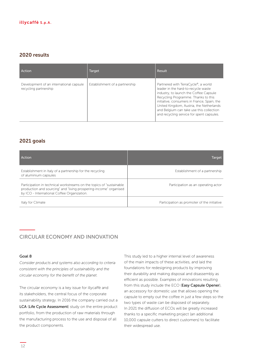# 2020 results

| Action                                                           | <b>Target</b>                  | Result                                                                                                                                                                                                                                                                                                                                          |
|------------------------------------------------------------------|--------------------------------|-------------------------------------------------------------------------------------------------------------------------------------------------------------------------------------------------------------------------------------------------------------------------------------------------------------------------------------------------|
| Development of an international capsule<br>recycling partnership | Establishment of a partnership | Partnered with TerraCycle®, a world<br>leader in the hard-to-recycle waste<br>industry, to launch the Coffee Capsule<br>Recycling Programme. Thanks to this<br>initiative, consumers in France, Spain, the<br>United Kingdom, Austria, the Netherlands<br>and Belgium can take use this collection<br>and recycling service for spent capsules. |

#### 2021 goals

| Action                                                                                                                                                                                    | <b>Target</b>                               |
|-------------------------------------------------------------------------------------------------------------------------------------------------------------------------------------------|---------------------------------------------|
| Establishment in Italy of a partnership for the recycling<br>of aluminium capsules                                                                                                        | Establishment of a partnership              |
| Participation in technical workstreams on the topics of "sustainable"<br>production and sourcing" and "living prospering-income" organised<br>by ICO - International Coffee Organization. | Participation as an operating actor         |
| Italy for Climate                                                                                                                                                                         | Participation as promoter of the initiative |

# CIRCULAR ECONOMY AND INNOVATION

#### Goal 8

*Consider products and systems also according to criteria consistent with the principles of sustainability and the circular economy for the benefit of the planet.*

The circular economy is a key issue for illycaffè and its stakeholders, the central focus of the corporate sustainability strategy. In 2016 the company carried out a LCA (Life Cycle Assessment) study on the entire product portfolio, from the production of raw materials through the manufacturing process to the use and disposal of all the product components.

This study led to a higher internal level of awareness of the main impacts of these activities, and laid the foundations for redesigning products by improving their durability and making disposal and disassembly as efficient as possible. Examples of innovations resulting from this study include the ECO (Easy Capsule Opener), an accessory for domestic use that allows opening the capsule to empty out the coffee in just a few steps so the two types of waste can be disposed of separately. In 2021 the diffusion of ECOs will be greatly increased thanks to a specific marketing project (an additional 10,000 capsule cutters to direct customers) to facilitate their widespread use.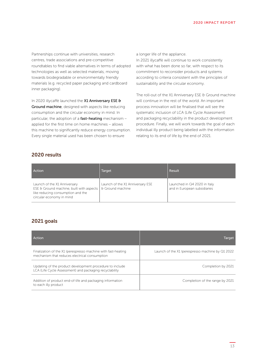Partnerships continue with universities, research centres, trade associations and pre-competitive roundtables to find viable alternatives in terms of adopted technologies as well as selected materials, moving towards biodegradable or environmentally friendly materials (e.g. recycled paper packaging and cardboard inner packaging).

In 2020 illycaffè launched the X1 Anniversary ESE & Ground machine, designed with aspects like reducing consumption and the circular economy in mind. In particular, the adoption of a fast-heating mechanism applied for the first time on home machines – allows this machine to significantly reduce energy consumption. Every single material used has been chosen to ensure

a longer life of the appliance.

In 2021 illycaffè will continue to work consistently with what has been done so far, with respect to its commitment to reconsider products and systems according to criteria consistent with the principles of sustainability and the circular economy.

The roll-out of the X1 Anniversary ESE & Ground machine will continue in the rest of the world. An important process innovation will be finalised that will see the systematic inclusion of LCA (Life Cycle Assessment) and packaging recyclability in the product development procedure. Finally, we will work towards the goal of each individual illy product being labelled with the information relating to its end of life by the end of 2021.

#### 2020 results

| Action                                                                                                                                                | Target                                               | Result                                                       |
|-------------------------------------------------------------------------------------------------------------------------------------------------------|------------------------------------------------------|--------------------------------------------------------------|
| Launch of the X1 Anniversary<br>ESE $\theta$ Ground machine, built with aspects $\ $<br>like reducing consumption and the<br>circular economy in mind | Launch of the X1 Anniversary ESE<br>& Ground machine | Launched in Q4 2020 in Italy<br>and in European subsidiaries |

| Action                                                                                                              | Target                                           |
|---------------------------------------------------------------------------------------------------------------------|--------------------------------------------------|
| Finalization of the X1 Iperespresso machine with fast-heating<br>mechanism that reduces electrical consumption      | Launch of the X1 Iperespresso machine by Q1 2022 |
| Updating of the product development procedure to include<br>LCA (Life Cycle Assessment) and packaging recyclability | Completion by 2021                               |
| Addition of product end-of-life and packaging information<br>to each illy product                                   | Completion of the range by 2021                  |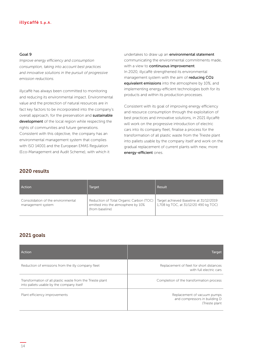#### illycaffè S.p.A.

#### Goal 9

*Improve energy efficiency and consumption consumption, taking into account best practices and innovative solutions in the pursuit of progressive emission reductions.*

illycaffè has always been committed to monitoring and reducing its environmental impact. Environmental value and the protection of natural resources are in fact key factors to be incorporated into the company's overall approach, for the preservation and sustainable development of the local region while respecting the rights of communities and future generations. Consistent with this objective, the company has an environmental management system that complies with ISO 14001 and the European EMAS Regulation (Eco-Management and Audit Scheme), with which it

undertakes to draw up an environmental statement communicating the environmental commitments made, with a view to continuous improvement. In 2020, illycaffè strengthened its environmental management system with the aim of reducing CO<sub>2</sub> equivalent emissions into the atmosphere by 10%, and implementing energy-efficient technologies both for its products and within its production processes.

Consistent with its goal of improving energy efficiency and resource consumption through the exploitation of best practices and innovative solutions, in 2021 illycaffè will work on the progressive introduction of electric cars into its company fleet, finalise a process for the transformation of all plastic waste from the Trieste plant into pallets usable by the company itself and work on the gradual replacement of current plants with new, more energy-efficient ones.

# 2020 results

| Action                                                  | Target                                                                                           | Result                                                                           |
|---------------------------------------------------------|--------------------------------------------------------------------------------------------------|----------------------------------------------------------------------------------|
| Consolidation of the environmental<br>management system | Reduction of Total Organic Carbon (TOC)<br>emitted into the atmosphere by 10%<br>(from baseline) | Target achieved (baseline at 31/12/2019<br>1,708 kg TOC, at 31/12/20 490 kg TOC) |

| Action                                                                                                  | <b>Target</b>                                                                   |
|---------------------------------------------------------------------------------------------------------|---------------------------------------------------------------------------------|
| Reduction of emissions from the illy company fleet                                                      | Replacement of fleet for short distances<br>with full electric cars             |
| Transformation of all plastic waste from the Trieste plant<br>into pallets usable by the company itself | Completion of the transformation process                                        |
| Plant efficiency improvements                                                                           | Replacement of vacuum pumps<br>and compressors in building D<br>(Trieste plant) |